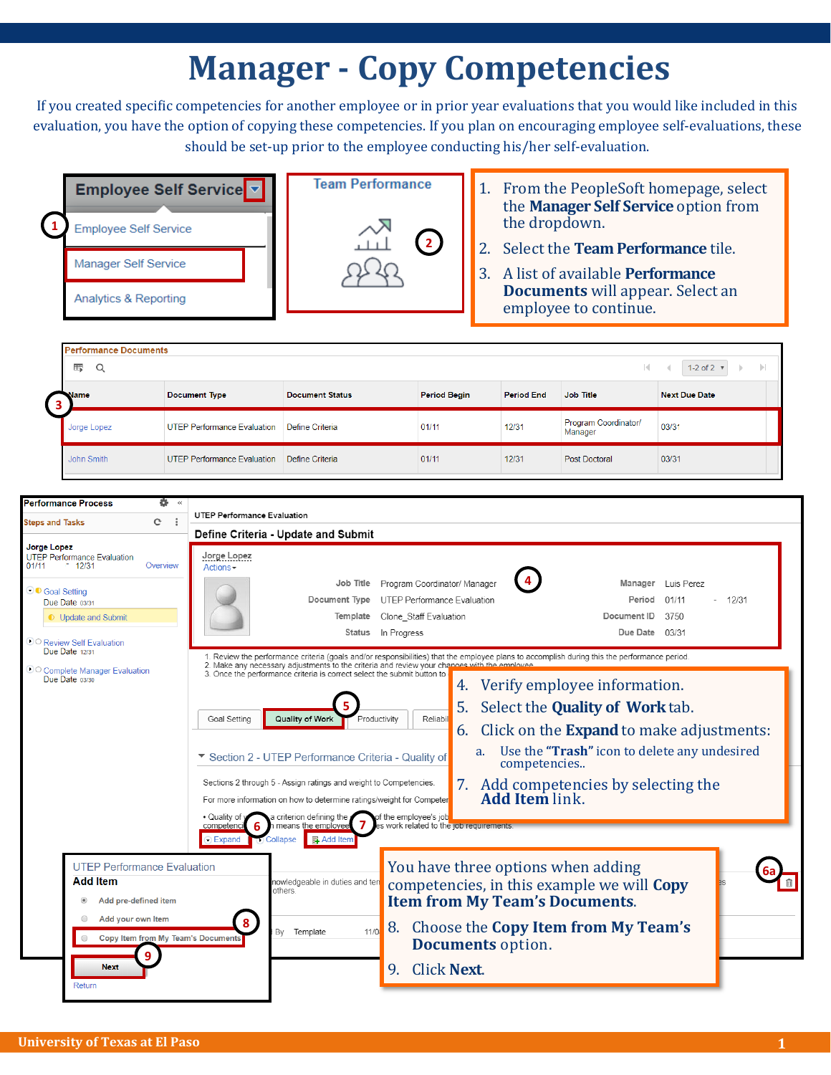## **Manager - Copy Competencies**

If you created specific competencies for another employee or in prior year evaluations that you would like included in this evaluation, you have the option of copying these competencies. If you plan on encouraging employee self-evaluations, these should be set-up prior to the employee conducting his/her self-evaluation.



|   | <b>Performance Documents</b><br>的<br>Q<br>1-2 of $2 \times$<br>K.<br>$\mathbb{R}$<br>$\mathbb{D}$ |                             |                        |                     |                   |                                 |                      |  |  |  |
|---|---------------------------------------------------------------------------------------------------|-----------------------------|------------------------|---------------------|-------------------|---------------------------------|----------------------|--|--|--|
| з | Name                                                                                              | <b>Document Type</b>        | <b>Document Status</b> | <b>Period Begin</b> | <b>Period End</b> | Job Title                       | <b>Next Due Date</b> |  |  |  |
|   | Jorge Lopez                                                                                       | UTEP Performance Evaluation | Define Criteria        | 01/11               | 12/31             | Program Coordinator/<br>Manager | 03/31                |  |  |  |
|   | John Smith                                                                                        | UTEP Performance Evaluation | Define Criteria        | 01/11               | 12/31             | <b>Post Doctoral</b>            | 03/31                |  |  |  |